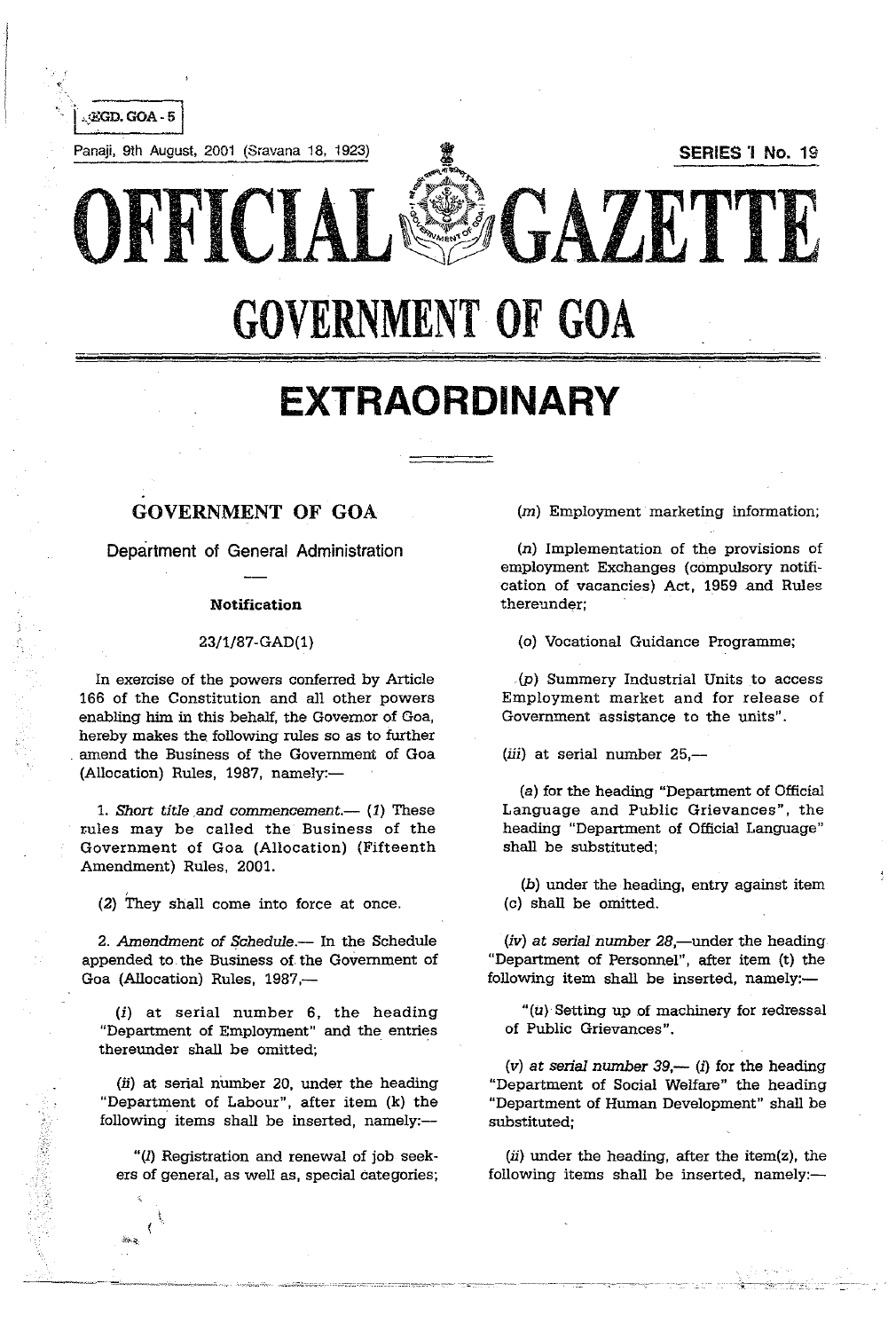

# **GOVERNMENT OF GOA**

# **EXTRAORDINARY**

## GOVERNMENT OF GOA

Department of General Administration

#### Notification

### 23/1/87-GAD(1)

In exercise of the powers conferred by Article 166 of the Constitution and all other powers enabling him in this behalf, the Governor of Goa, hereby makes the following rules so as to further amend the Business of the Government of Goa (Allocation) Rules, 1987, namely:-

1. *Short title and commencement.*-- (1) These rules may be called the Business of the Government of Goa (Allocation) (Fifteenth Amendment) Rules, 2001.

 $(2)$  They shall come into force at once.

2. Amendment of *Schedule*.-- In the Schedule appended to the Business of the Government of Goa (Allocation) Rules, 1987,-

(i) at serial number 6, the heading "Department of Employment" and the entries thereunder shall be omitted;

(ii) at serial number 20, under the heading "Department of Labour", after item (k) the following items shall be inserted, namely:--

" $(1)$  Registration and renewal of job seekers of general, as well as, special categories;  $(m)$  Employment marketing information;

( $n$ ) Implementation of the provisions of employment Exchanges (compulsory notification of vacancies) Act, 1959 and Rules **thereunder;** 

(o) Vocational Guidance Programme;

 $(p)$  Summery Industrial Units to access Employment market and for release of Government assistance to the units".

 $(iii)$  at serial number 25,-

(a) for the heading "Department of Official Language and Public Grievances", the heading "Department of Official Language" shall be substituted;

(b) under the heading, entry against item (c) shall be omitted.

 $(iv)$  at serial number 28,—under the heading "Department of Personnel", after item (t) the following item shall be inserted, namely: $-$ 

" $(u)$  Setting up of machinery for redressal of Public Grievances".

(v) at serial number  $39 - (i)$  for the heading "Department of Social Welfare" the heading "Department of Human Development" shall be substituted;

 $(ii)$  under the heading, after the item(z), the following items shall be inserted, namely: $-$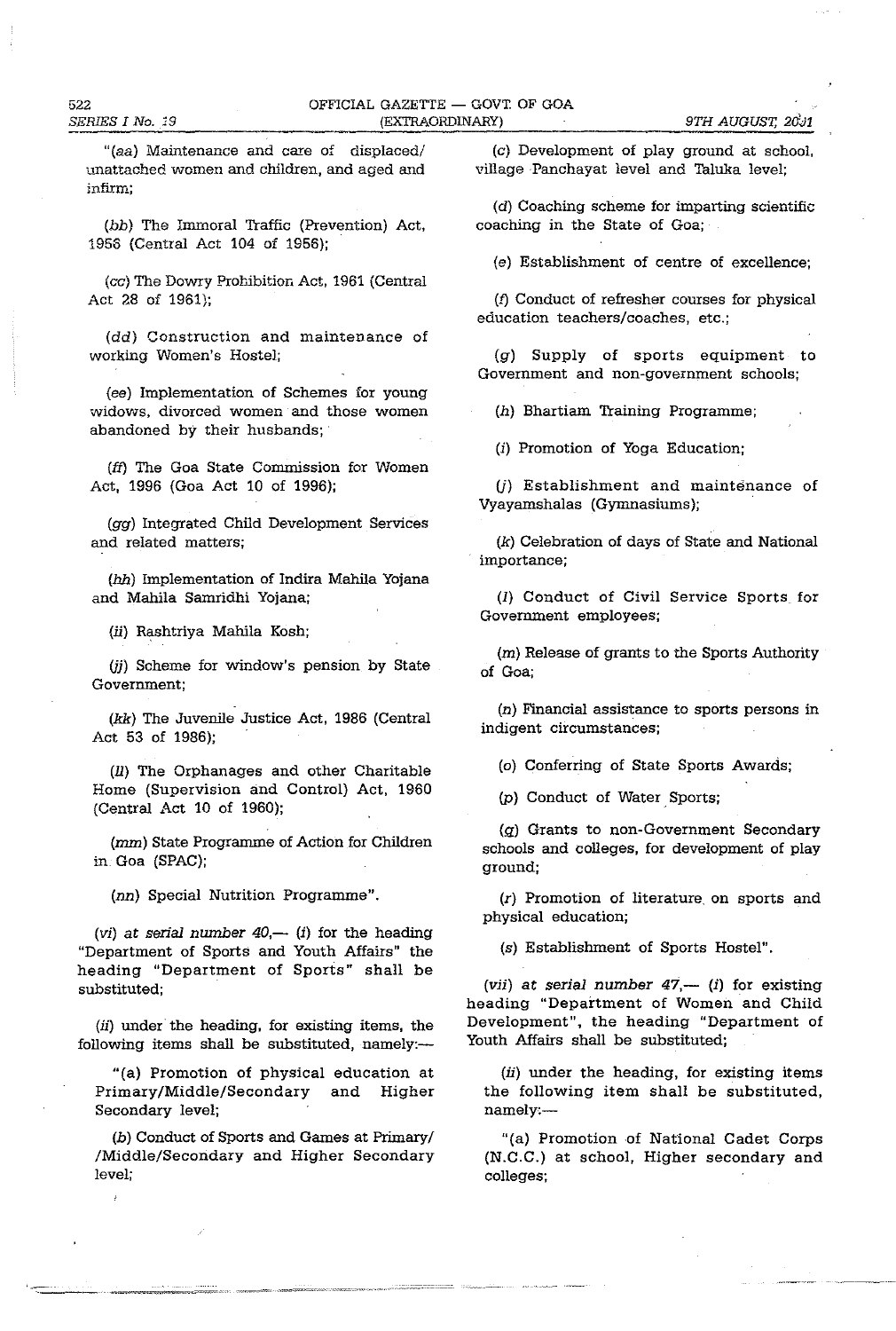"(aa) Maintenance and care of displaced/ unattached women and children, and aged and **infirm;** 

(bb) The Immoral Traffic (Prevention) Act, 1956 (Central Act 104 of 1956);

(ce) The Dowry Prohibition Act, 1961 (Central Act 28 of 1961);

(dd) Construction and maintenance of working Women's Hostel;

(ee) Implementation of Schemes for young widows, divorced women and those women abandoned by their husbands;

(ft) The Goa State Commission for Women Act, 1996 (Goa Act 10 of 1996);

(gg) Integrated Child Development Services and related matters;

(hh) Implementation of Indira Mahila Yojana and Mabila Samridhi Yojana;

(ii) Rashtriya Mahila Kosh;

(*ii*) Scheme for window's pension by State Government;

(kk) The Juvenile Justice Act, 1986 (Central Act 53 of 1986);

(11) The Orphanages and other Charitable Home (Supervision and Control) Act, 1960 (Central Act 10 of 1960);

(mm) State Programme of Action for Children in Goa (SPAC);

(nn) Special Nutrition Programme".

(vi) at serial number  $40$ ,— (i) for the heading "Department of Sports and Youth Affairs" the heading "Department of Sports" shall be substituted;

(ii) under the heading, for existing items, the following items shall be substituted, namely:--

"(a) Promotion of physical education at Primary/Middle/Secondary and Higher Secondary level;

(b) Conduct of Sports and Games at Primary/ /Middle/Secondary and Higher Secondary level;

----

(e) Development of play ground at school, village Panchayat level and Taluka level;

(d) Coaching scheme for imparting scientific coaching in the State of Goa;

(e) Establishment of centre of excellence;

(f) Conduct of refresher courses for physical education teachers/coaches, etc.;

(g) Supply of sports equipment to Government and non-government schools;

(h) Bhartiam Training Programme;

(i) Promotion of Yoga Education;

(i) Establishment and maintenance of Vyayamshalas (Gymnasiums);

(k) Celebration of days of State and National importance;

(1) Conduct of Civil Service Sports for Government employees;

(m) Release of grants to the Sports Authority of Goa;

(n) Financial assistance to sports persons in indigent circumstances;

(0) Conferring of State Sports Awards;

(p) Conduct of Water Sports;

 $(g)$  Grants to non-Government Secondary schools and colleges, for development of play ground;

(r) Promotion of literature. on sports and physical education;

(s) Establishment of Sports Hostel".

(vii) at serial number  $47$ ,— (i) for existing heading "Department of Women and Child Development", the heading "Department of Youth Affairs shall be substituted;

 $(ii)$  under the heading, for existing items the following item shall be substituted, namely:-

"(a) Promotion of National Cadet Corps (N.C.C.) at school, Higher secondary and colleges;